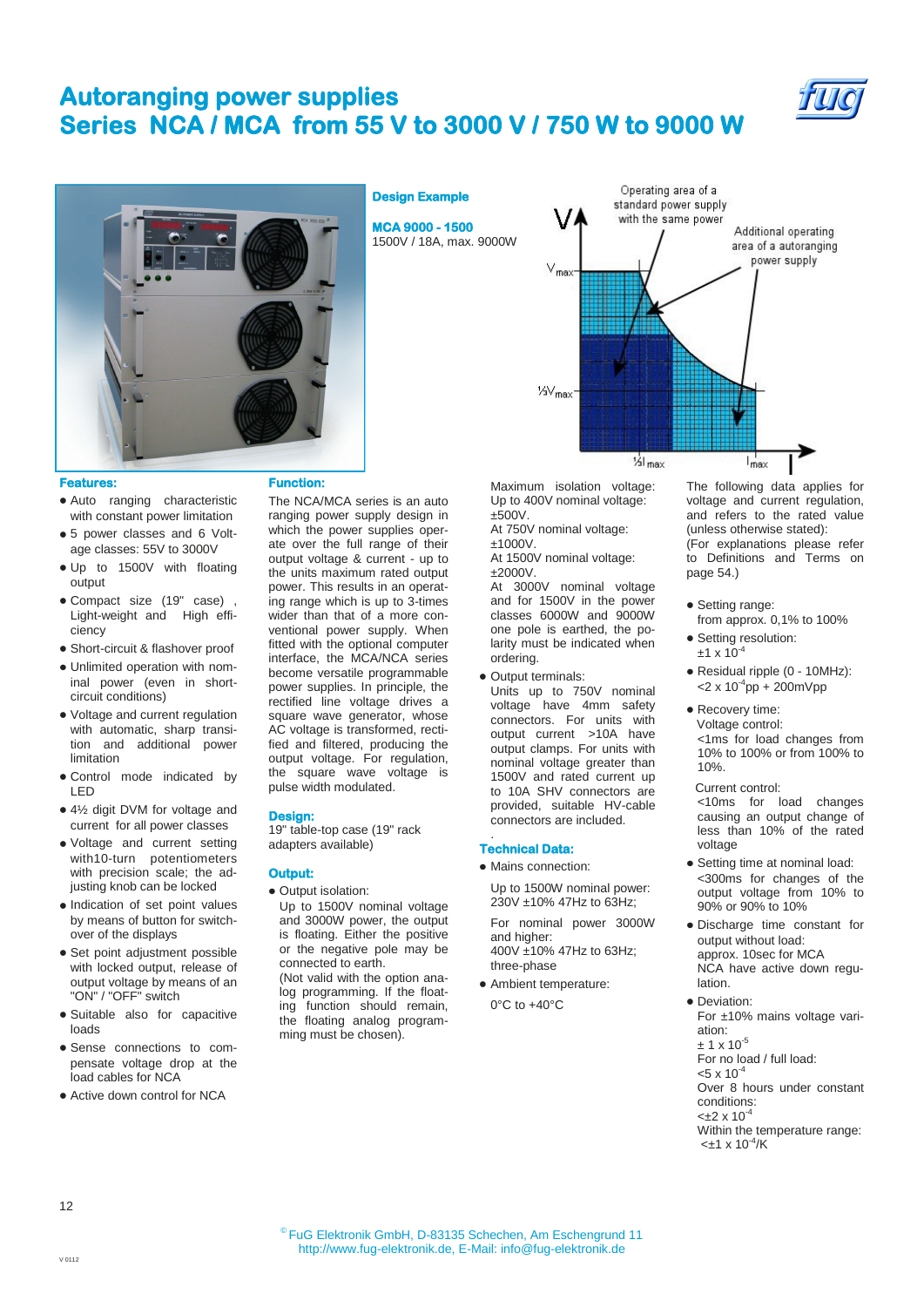## **Autoranging power supplies Series NCA / MCA from 55 V to 3000 V / 750 W to 9000 W**

**MCA 9000 - 1500**  1500V / 18A, max. 9000W

**Design Example** 





### **Features:**

- Auto ranging characteristic with constant power limitation
- 5 power classes and 6 Voltage classes: 55V to 3000V
- Up to 1500V with floating output
- Compact size (19" case) , Light-weight and High efficiency
- Short-circuit & flashover proof
- Unlimited operation with nominal power (even in shortcircuit conditions)
- Voltage and current regulation with automatic, sharp transition and additional power limitation
- Control mode indicated by LED
- 4½ digit DVM for voltage and current for all power classes
- Voltage and current setting with10-turn potentiometers with precision scale; the adjusting knob can be locked
- Indication of set point values by means of button for switchover of the displays
- Set point adjustment possible with locked output, release of output voltage by means of an "ON" / "OFF" switch
- Suitable also for capacitive loads
- Sense connections to compensate voltage drop at the load cables for NCA
- Active down control for NCA

### **Function:**

The NCA/MCA series is an auto ranging power supply design in which the power supplies operate over the full range of their output voltage & current - up to the units maximum rated output power. This results in an operating range which is up to 3-times wider than that of a more conventional power supply. When fitted with the optional computer interface, the MCA/NCA series become versatile programmable power supplies. In principle, the rectified line voltage drives a square wave generator, whose AC voltage is transformed, rectified and filtered, producing the output voltage. For regulation, the square wave voltage is pulse width modulated.

## **Design:**

19" table-top case (19" rack adapters available)

- **Output:**
- Output isolation: Up to 1500V nominal voltage and 3000W power, the output is floating. Either the positive or the negative pole may be connected to earth.
- (Not valid with the option analog programming. If the floating function should remain, the floating analog programming must be chosen).



Maximum isolation voltage: Up to 400V nominal voltage: ±500V.

At 750V nominal voltage: ±1000V.

At 1500V nominal voltage: ±2000V.

At 3000V nominal voltage and for 1500V in the power classes 6000W and 9000W one pole is earthed, the polarity must be indicated when ordering.

• Output terminals:

Units up to 750V nominal voltage have 4mm safety connectors. For units with output current >10A have output clamps. For units with nominal voltage greater than 1500V and rated current up to 10A SHV connectors are provided, suitable HV-cable connectors are included.

### **Technical Data:**

.

Mains connection:

Up to 1500W nominal power: 230V ±10% 47Hz to 63Hz;

For nominal power 3000W and higher: 400V ±10% 47Hz to 63Hz; three-phase

Ambient temperature:

0°C to +40°C

The following data applies for voltage and current regulation, and refers to the rated value (unless otherwise stated): (For explanations please refer to Definitions and Terms on page 54.)

- Setting range: from approx. 0,1% to 100%
- Setting resolution:  $±1 \times 10^{-4}$
- Residual ripple (0 10MHz):  $<$ 2 x 10<sup>-4</sup>pp + 200mVpp
- Recovery time: Voltage control: <1ms for load changes from 10% to 100% or from 100% to 10%.

Current control: <10ms for load changes causing an output change of less than 10% of the rated voltage

- Setting time at nominal load: <300ms for changes of the output voltage from 10% to 90% or 90% to 10%
- Discharge time constant for output without load: approx. 10sec for MCA NCA have active down regulation.

• Deviation: For ±10% mains voltage variation:  $\pm$  1 x 10  $^5$ For no load / full load:  $< 5 \times 10^{-4}$ Over 8 hours under constant conditions:  $<\pm 2 \times 10^{-4}$ Within the temperature range:

 $<\pm 1 \times 10^{-4}$ /K

V 0112